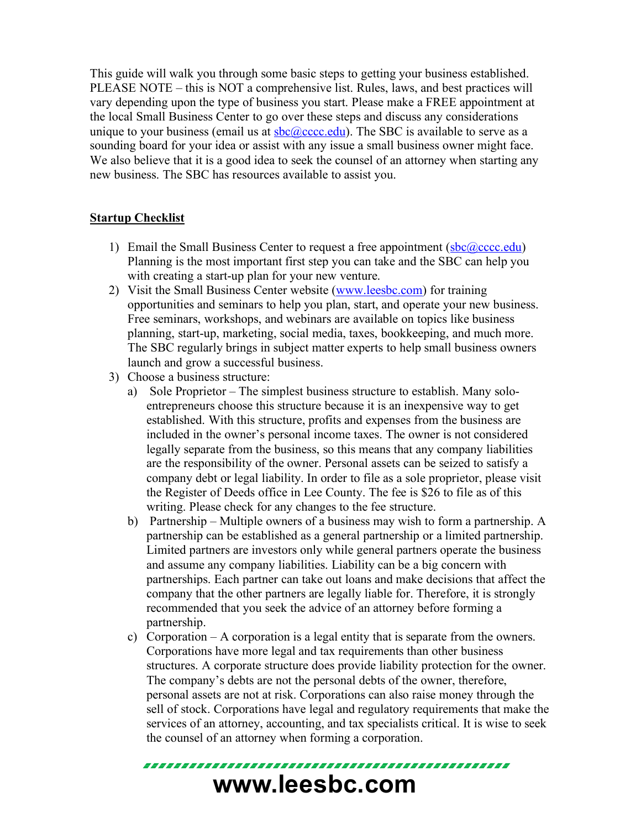This guide will walk you through some basic steps to getting your business established. PLEASE NOTE – this is NOT a comprehensive list. Rules, laws, and best practices will vary depending upon the type of business you start. Please make a FREE appointment at the local Small Business Center to go over these steps and discuss any considerations unique to your business (email us at  $sbc@cccc\cdots$ ). The SBC is available to serve as a sounding board for your idea or assist with any issue a small business owner might face. We also believe that it is a good idea to seek the counsel of an attorney when starting any new business. The SBC has resources available to assist you.

## **Startup Checklist**

- 1) Email the Small Business Center to request a free appointment  $(sbc@cccc\ncoc.edu)$ Planning is the most important first step you can take and the SBC can help you with creating a start-up plan for your new venture.
- 2) Visit the Small Business Center website (www.leesbc.com) for training opportunities and seminars to help you plan, start, and operate your new business. Free seminars, workshops, and webinars are available on topics like business planning, start-up, marketing, social media, taxes, bookkeeping, and much more. The SBC regularly brings in subject matter experts to help small business owners launch and grow a successful business.
- 3) Choose a business structure:
	- a) Sole Proprietor The simplest business structure to establish. Many soloentrepreneurs choose this structure because it is an inexpensive way to get established. With this structure, profits and expenses from the business are included in the owner's personal income taxes. The owner is not considered legally separate from the business, so this means that any company liabilities are the responsibility of the owner. Personal assets can be seized to satisfy a company debt or legal liability. In order to file as a sole proprietor, please visit the Register of Deeds office in Lee County. The fee is \$26 to file as of this writing. Please check for any changes to the fee structure.
	- b) Partnership Multiple owners of a business may wish to form a partnership. A partnership can be established as a general partnership or a limited partnership. Limited partners are investors only while general partners operate the business and assume any company liabilities. Liability can be a big concern with partnerships. Each partner can take out loans and make decisions that affect the company that the other partners are legally liable for. Therefore, it is strongly recommended that you seek the advice of an attorney before forming a partnership.
	- c) Corporation A corporation is a legal entity that is separate from the owners. Corporations have more legal and tax requirements than other business structures. A corporate structure does provide liability protection for the owner. The company's debts are not the personal debts of the owner, therefore, personal assets are not at risk. Corporations can also raise money through the sell of stock. Corporations have legal and regulatory requirements that make the services of an attorney, accounting, and tax specialists critical. It is wise to seek the counsel of an attorney when forming a corporation.

## **www.leesbc.com**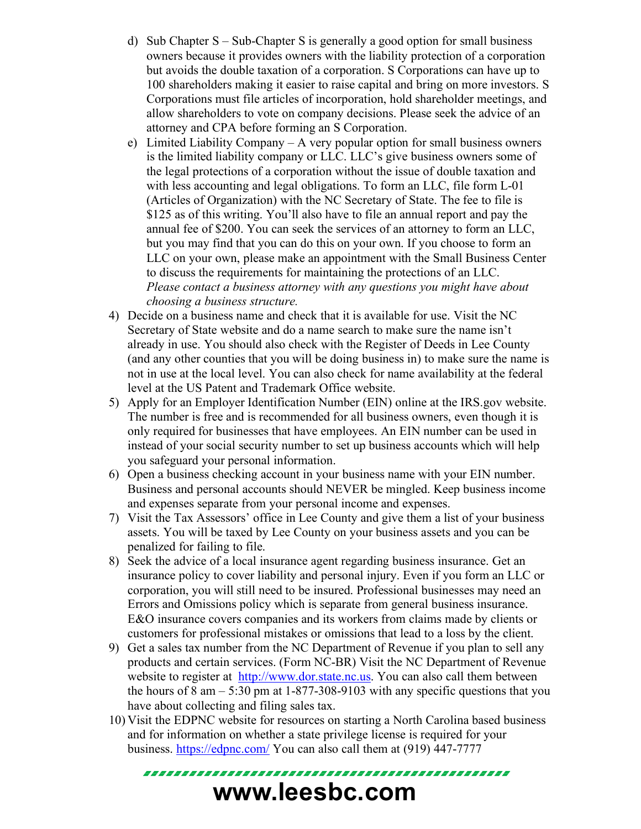- d) Sub Chapter S Sub-Chapter S is generally a good option for small business owners because it provides owners with the liability protection of a corporation but avoids the double taxation of a corporation. S Corporations can have up to 100 shareholders making it easier to raise capital and bring on more investors. S Corporations must file articles of incorporation, hold shareholder meetings, and allow shareholders to vote on company decisions. Please seek the advice of an attorney and CPA before forming an S Corporation.
- e) Limited Liability Company A very popular option for small business owners is the limited liability company or LLC. LLC's give business owners some of the legal protections of a corporation without the issue of double taxation and with less accounting and legal obligations. To form an LLC, file form L-01 (Articles of Organization) with the NC Secretary of State. The fee to file is \$125 as of this writing. You'll also have to file an annual report and pay the annual fee of \$200. You can seek the services of an attorney to form an LLC, but you may find that you can do this on your own. If you choose to form an LLC on your own, please make an appointment with the Small Business Center to discuss the requirements for maintaining the protections of an LLC. *Please contact a business attorney with any questions you might have about choosing a business structure.*
- 4) Decide on a business name and check that it is available for use. Visit the NC Secretary of State website and do a name search to make sure the name isn't already in use. You should also check with the Register of Deeds in Lee County (and any other counties that you will be doing business in) to make sure the name is not in use at the local level. You can also check for name availability at the federal level at the US Patent and Trademark Office website.
- 5) Apply for an Employer Identification Number (EIN) online at the IRS.gov website. The number is free and is recommended for all business owners, even though it is only required for businesses that have employees. An EIN number can be used in instead of your social security number to set up business accounts which will help you safeguard your personal information.
- 6) Open a business checking account in your business name with your EIN number. Business and personal accounts should NEVER be mingled. Keep business income and expenses separate from your personal income and expenses.
- 7) Visit the Tax Assessors' office in Lee County and give them a list of your business assets. You will be taxed by Lee County on your business assets and you can be penalized for failing to file.
- 8) Seek the advice of a local insurance agent regarding business insurance. Get an insurance policy to cover liability and personal injury. Even if you form an LLC or corporation, you will still need to be insured. Professional businesses may need an Errors and Omissions policy which is separate from general business insurance. E&O insurance covers companies and its workers from claims made by clients or customers for professional mistakes or omissions that lead to a loss by the client.
- 9) Get a sales tax number from the NC Department of Revenue if you plan to sell any products and certain services. (Form NC-BR) Visit the NC Department of Revenue website to register at http://www.dor.state.nc.us. You can also call them between the hours of  $8 \text{ am} - 5:30 \text{ pm}$  at 1-877-308-9103 with any specific questions that you have about collecting and filing sales tax.
- 10) Visit the EDPNC website for resources on starting a North Carolina based business and for information on whether a state privilege license is required for your business. https://edpnc.com/ You can also call them at (919) 447-7777

**www.leesbc.com**